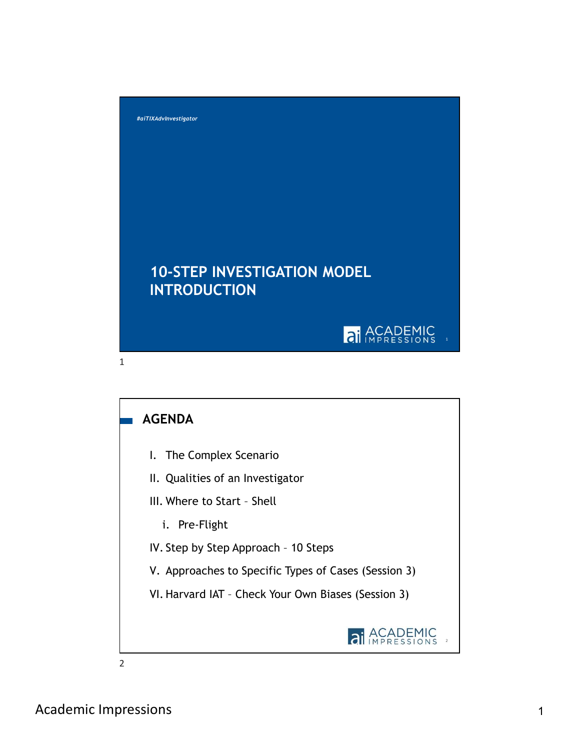

## AGENDA

- 
- 
- -
- 
- 
-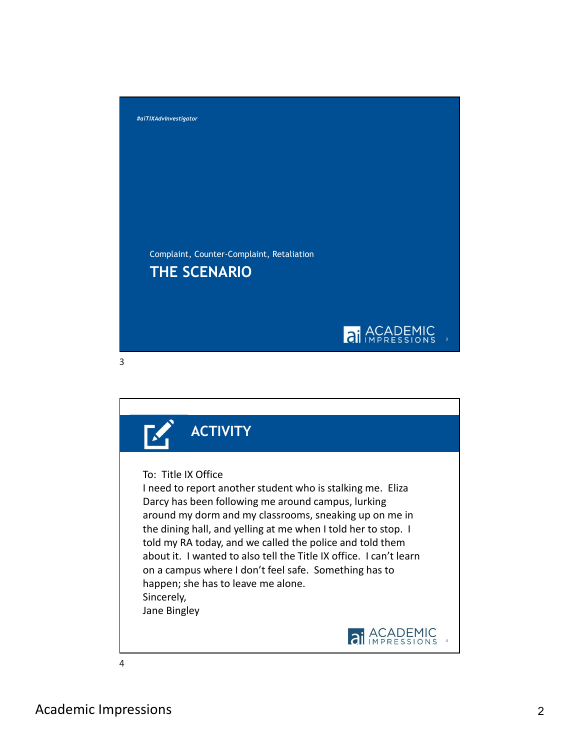

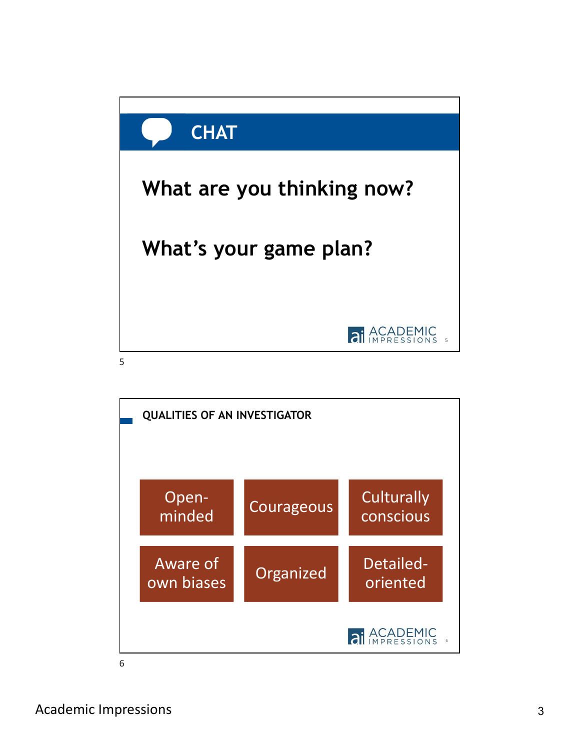

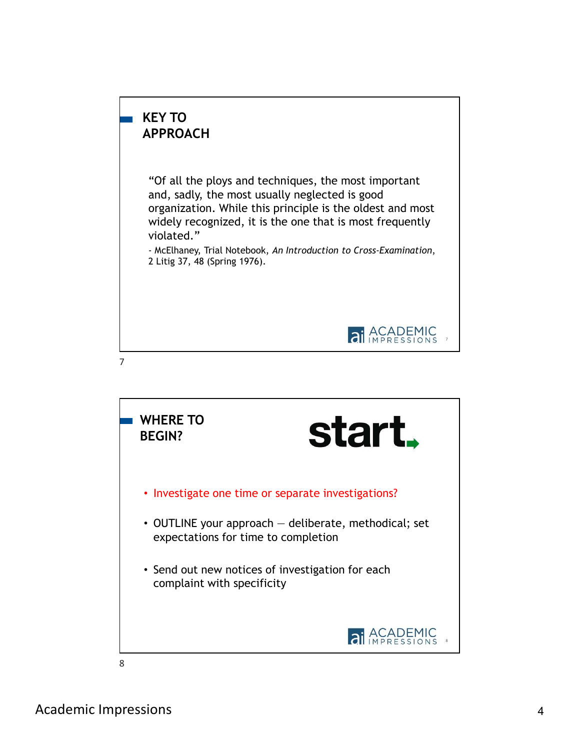

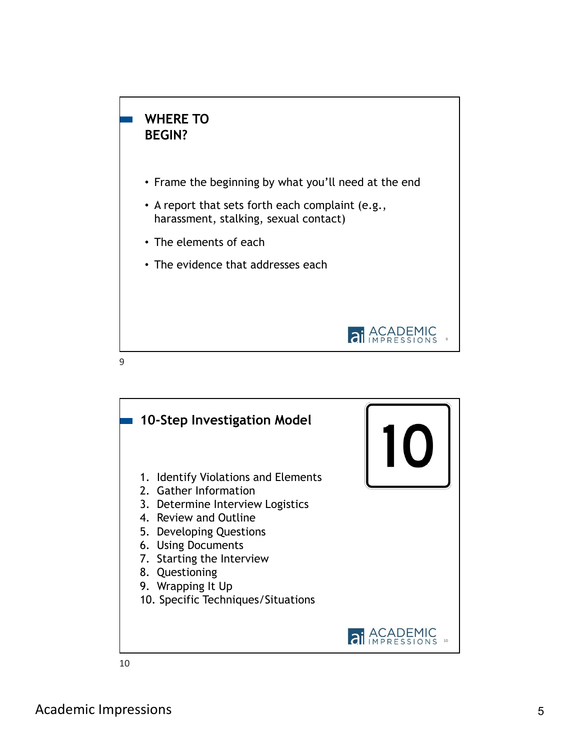

- Frame the beginning by what you'll need at the end
- A report that sets forth each complaint (e.g., harassment, stalking, sexual contact)
- The elements of each
- The evidence that addresses each



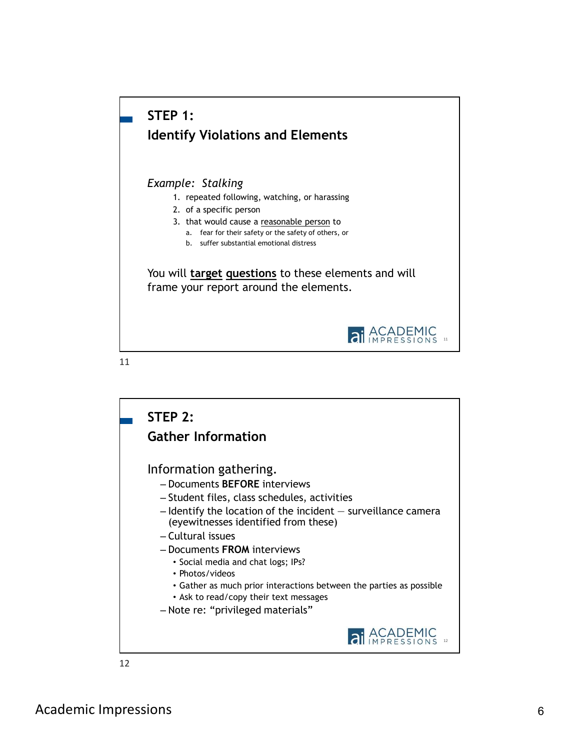

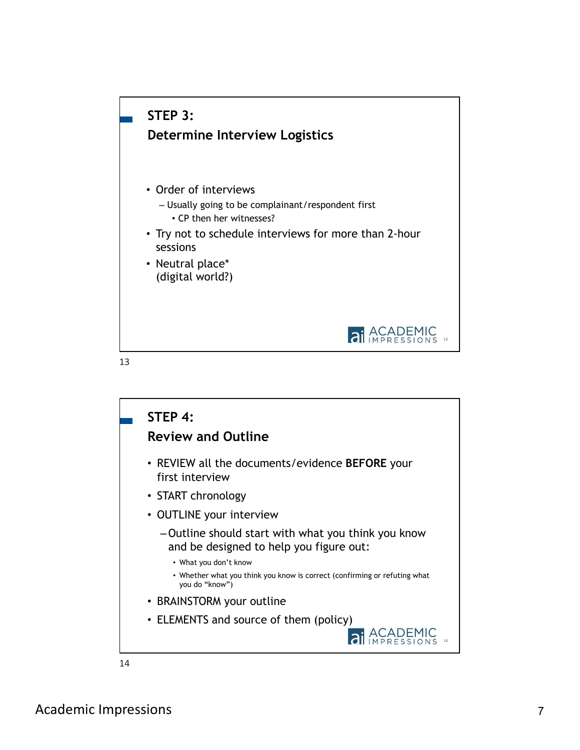

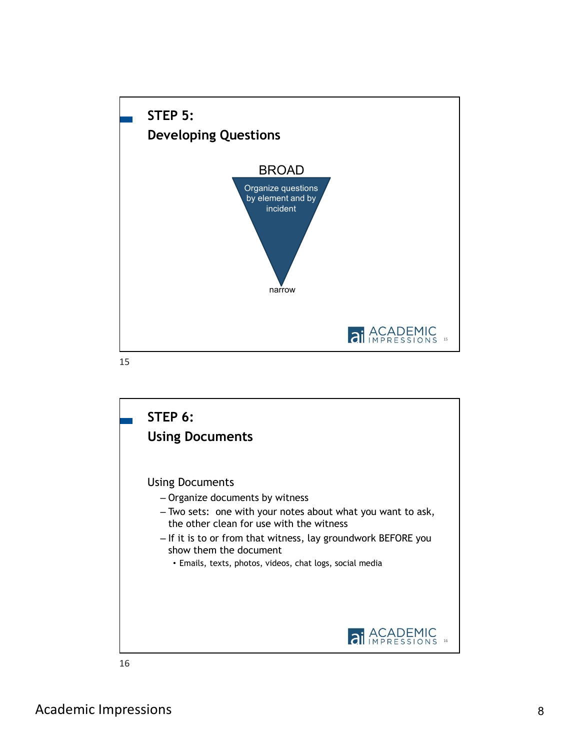

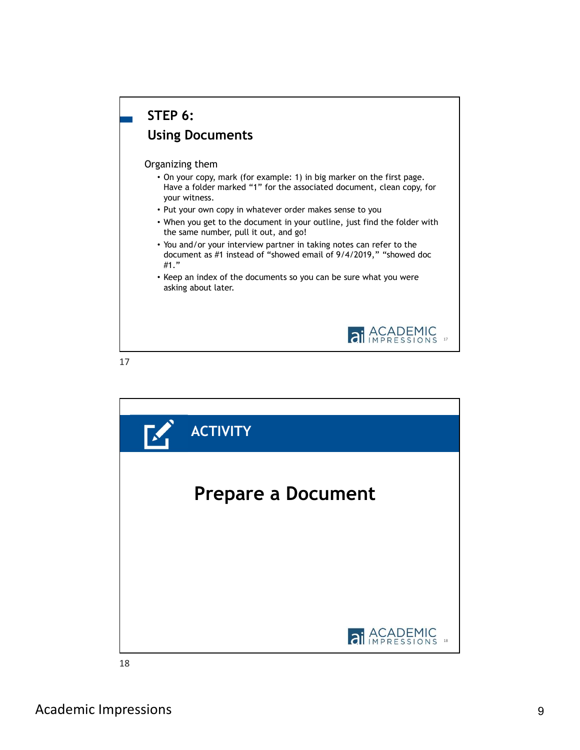